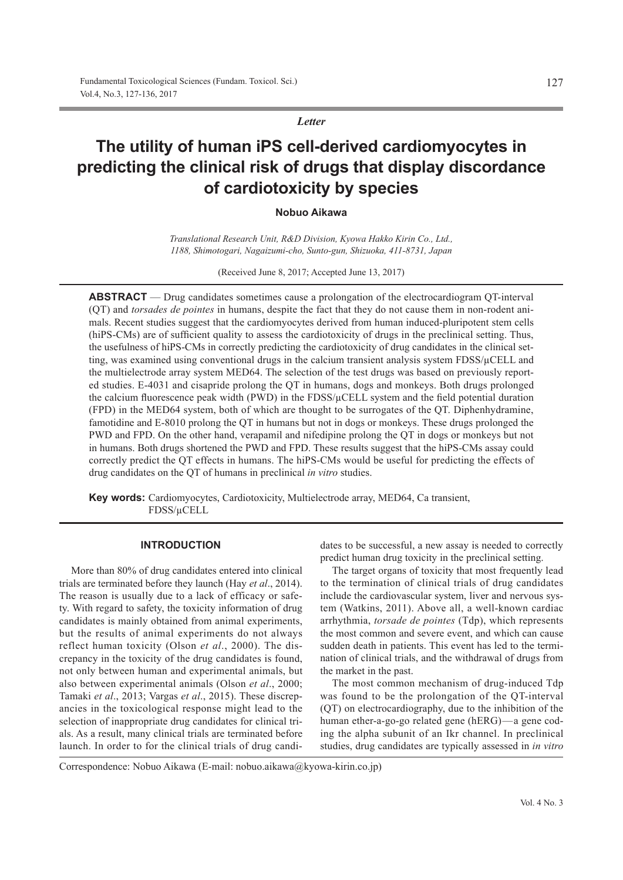*Letter*

# **The utility of human iPS cell-derived cardiomyocytes in predicting the clinical risk of drugs that display discordance of cardiotoxicity by species**

**Nobuo Aikawa**

*Translational Research Unit, R&D Division, Kyowa Hakko Kirin Co., Ltd., 1188, Shimotogari, Nagaizumi-cho, Sunto-gun, Shizuoka, 411-8731, Japan*

(Received June 8, 2017; Accepted June 13, 2017)

**ABSTRACT** — Drug candidates sometimes cause a prolongation of the electrocardiogram QT-interval (QT) and *torsades de pointes* in humans, despite the fact that they do not cause them in non-rodent animals. Recent studies suggest that the cardiomyocytes derived from human induced-pluripotent stem cells (hiPS-CMs) are of sufficient quality to assess the cardiotoxicity of drugs in the preclinical setting. Thus, the usefulness of hiPS-CMs in correctly predicting the cardiotoxicity of drug candidates in the clinical setting, was examined using conventional drugs in the calcium transient analysis system FDSS/μCELL and the multielectrode array system MED64. The selection of the test drugs was based on previously reported studies. E-4031 and cisapride prolong the QT in humans, dogs and monkeys. Both drugs prolonged the calcium fluorescence peak width (PWD) in the FDSS/μCELL system and the field potential duration (FPD) in the MED64 system, both of which are thought to be surrogates of the QT. Diphenhydramine, famotidine and E-8010 prolong the QT in humans but not in dogs or monkeys. These drugs prolonged the PWD and FPD. On the other hand, verapamil and nifedipine prolong the QT in dogs or monkeys but not in humans. Both drugs shortened the PWD and FPD. These results suggest that the hiPS-CMs assay could correctly predict the QT effects in humans. The hiPS-CMs would be useful for predicting the effects of drug candidates on the QT of humans in preclinical *in vitro* studies.

**Key words:** Cardiomyocytes, Cardiotoxicity, Multielectrode array, MED64, Ca transient, FDSS/μCELL

# **INTRODUCTION**

More than 80% of drug candidates entered into clinical trials are terminated before they launch (Hay *et al*., 2014). The reason is usually due to a lack of efficacy or safety. With regard to safety, the toxicity information of drug candidates is mainly obtained from animal experiments, but the results of animal experiments do not always reflect human toxicity (Olson *et al*., 2000). The discrepancy in the toxicity of the drug candidates is found, not only between human and experimental animals, but also between experimental animals (Olson *et al*., 2000; Tamaki *et al*., 2013; Vargas *et al*., 2015). These discrepancies in the toxicological response might lead to the selection of inappropriate drug candidates for clinical trials. As a result, many clinical trials are terminated before launch. In order to for the clinical trials of drug candidates to be successful, a new assay is needed to correctly predict human drug toxicity in the preclinical setting.

The target organs of toxicity that most frequently lead to the termination of clinical trials of drug candidates include the cardiovascular system, liver and nervous system (Watkins, 2011). Above all, a well-known cardiac arrhythmia, *torsade de pointes* (Tdp), which represents the most common and severe event, and which can cause sudden death in patients. This event has led to the termination of clinical trials, and the withdrawal of drugs from the market in the past.

The most common mechanism of drug-induced Tdp was found to be the prolongation of the QT-interval (QT) on electrocardiography, due to the inhibition of the human ether-a-go-go related gene (hERG)—a gene coding the alpha subunit of an Ikr channel. In preclinical studies, drug candidates are typically assessed in *in vitro*

Correspondence: Nobuo Aikawa (E-mail: nobuo.aikawa@kyowa-kirin.co.jp)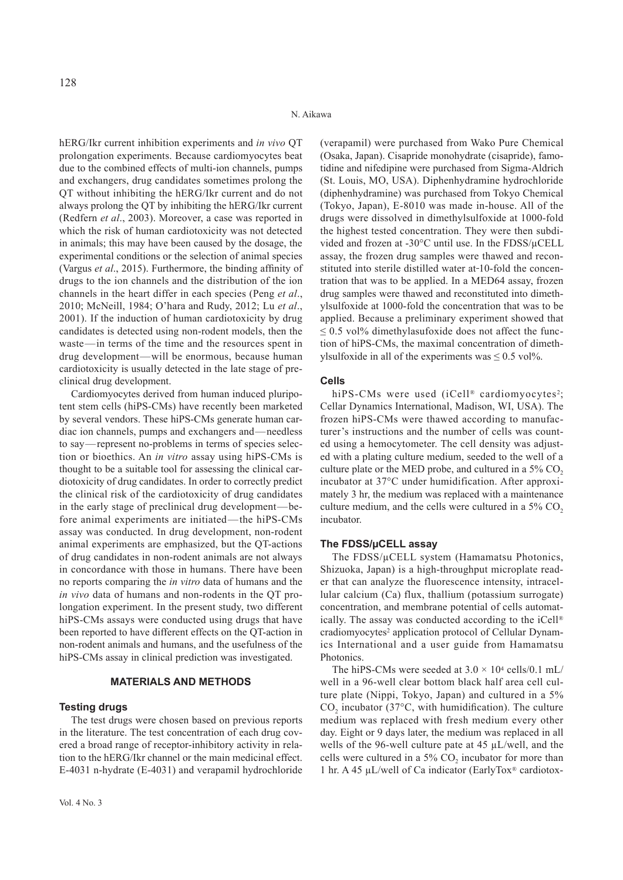hERG/Ikr current inhibition experiments and *in vivo* QT prolongation experiments. Because cardiomyocytes beat due to the combined effects of multi-ion channels, pumps and exchangers, drug candidates sometimes prolong the QT without inhibiting the hERG/Ikr current and do not always prolong the QT by inhibiting the hERG/Ikr current (Redfern *et al*., 2003). Moreover, a case was reported in which the risk of human cardiotoxicity was not detected in animals; this may have been caused by the dosage, the experimental conditions or the selection of animal species (Vargus *et al*., 2015). Furthermore, the binding affinity of drugs to the ion channels and the distribution of the ion channels in the heart differ in each species (Peng *et al*., 2010; McNeill, 1984; O'hara and Rudy, 2012; Lu *et al*., 2001). If the induction of human cardiotoxicity by drug candidates is detected using non-rodent models, then the waste—in terms of the time and the resources spent in drug development—will be enormous, because human cardiotoxicity is usually detected in the late stage of preclinical drug development.

Cardiomyocytes derived from human induced pluripotent stem cells (hiPS-CMs) have recently been marketed by several vendors. These hiPS-CMs generate human cardiac ion channels, pumps and exchangers and—needless to say—represent no-problems in terms of species selection or bioethics. An *in vitro* assay using hiPS-CMs is thought to be a suitable tool for assessing the clinical cardiotoxicity of drug candidates. In order to correctly predict the clinical risk of the cardiotoxicity of drug candidates in the early stage of preclinical drug development—before animal experiments are initiated—the hiPS-CMs assay was conducted. In drug development, non-rodent animal experiments are emphasized, but the QT-actions of drug candidates in non-rodent animals are not always in concordance with those in humans. There have been no reports comparing the *in vitro* data of humans and the *in vivo* data of humans and non-rodents in the QT prolongation experiment. In the present study, two different hiPS-CMs assays were conducted using drugs that have been reported to have different effects on the QT-action in non-rodent animals and humans, and the usefulness of the hiPS-CMs assay in clinical prediction was investigated.

# **MATERIALS AND METHODS**

#### **Testing drugs**

The test drugs were chosen based on previous reports in the literature. The test concentration of each drug covered a broad range of receptor-inhibitory activity in relation to the hERG/Ikr channel or the main medicinal effect. E-4031 n-hydrate (E-4031) and verapamil hydrochloride

(verapamil) were purchased from Wako Pure Chemical (Osaka, Japan). Cisapride monohydrate (cisapride), famotidine and nifedipine were purchased from Sigma-Aldrich (St. Louis, MO, USA). Diphenhydramine hydrochloride (diphenhydramine) was purchased from Tokyo Chemical (Tokyo, Japan), E-8010 was made in-house. All of the drugs were dissolved in dimethylsulfoxide at 1000-fold the highest tested concentration. They were then subdivided and frozen at -30°C until use. In the FDSS/μCELL assay, the frozen drug samples were thawed and reconstituted into sterile distilled water at 10-fold the concentration that was to be applied. In a MED64 assay, frozen drug samples were thawed and reconstituted into dimethylsulfoxide at 1000-fold the concentration that was to be applied. Because a preliminary experiment showed that  $\leq$  0.5 vol% dimethylasufoxide does not affect the function of hiPS-CMs, the maximal concentration of dimethylsulfoxide in all of the experiments was  $\leq 0.5$  vol%.

#### **Cells**

hiPS-CMs were used (iCell® cardiomyocytes<sup>2</sup>; Cellar Dynamics International, Madison, WI, USA). The frozen hiPS-CMs were thawed according to manufacturer's instructions and the number of cells was counted using a hemocytometer. The cell density was adjusted with a plating culture medium, seeded to the well of a culture plate or the MED probe, and cultured in a  $5\%$  CO<sub>2</sub> incubator at 37°C under humidification. After approximately 3 hr, the medium was replaced with a maintenance culture medium, and the cells were cultured in a  $5\%$  CO<sub>2</sub> incubator.

#### **The FDSS/μCELL assay**

The FDSS/μCELL system (Hamamatsu Photonics, Shizuoka, Japan) is a high-throughput microplate reader that can analyze the fluorescence intensity, intracellular calcium (Ca) flux, thallium (potassium surrogate) concentration, and membrane potential of cells automatically. The assay was conducted according to the iCell® cradiomyocytes2 application protocol of Cellular Dynamics International and a user guide from Hamamatsu Photonics.

The hiPS-CMs were seeded at  $3.0 \times 10^4$  cells/0.1 mL/ well in a 96-well clear bottom black half area cell culture plate (Nippi, Tokyo, Japan) and cultured in a 5%  $CO<sub>2</sub>$  incubator (37 $\degree$ C, with humidification). The culture medium was replaced with fresh medium every other day. Eight or 9 days later, the medium was replaced in all wells of the 96-well culture pate at 45 μL/well, and the cells were cultured in a  $5\%$  CO<sub>2</sub> incubator for more than 1 hr. A 45 μL/well of Ca indicator (EarlyTox® cardiotox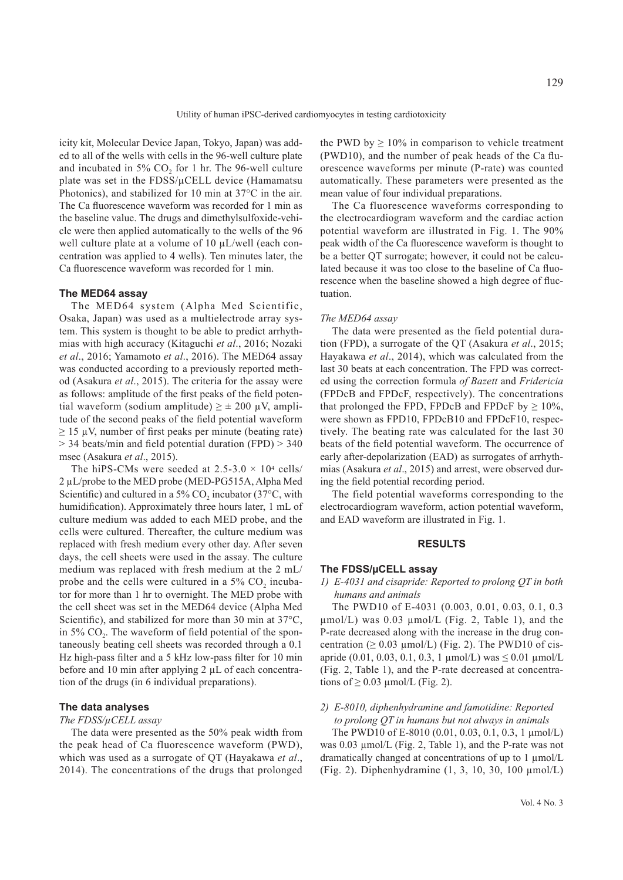Utility of human iPSC-derived cardiomyocytes in testing cardiotoxicity

icity kit, Molecular Device Japan, Tokyo, Japan) was added to all of the wells with cells in the 96-well culture plate and incubated in  $5\%$  CO<sub>2</sub> for 1 hr. The 96-well culture plate was set in the FDSS/μCELL device (Hamamatsu Photonics), and stabilized for 10 min at 37°C in the air. The Ca fluorescence waveform was recorded for 1 min as the baseline value. The drugs and dimethylsulfoxide-vehicle were then applied automatically to the wells of the 96 well culture plate at a volume of 10 μL/well (each concentration was applied to 4 wells). Ten minutes later, the Ca fluorescence waveform was recorded for 1 min.

## **The MED64 assay**

The MED64 system (Alpha Med Scientific, Osaka, Japan) was used as a multielectrode array system. This system is thought to be able to predict arrhythmias with high accuracy (Kitaguchi *et al*., 2016; Nozaki *et al*., 2016; Yamamoto *et al*., 2016). The MED64 assay was conducted according to a previously reported method (Asakura *et al*., 2015). The criteria for the assay were as follows: amplitude of the first peaks of the field potential waveform (sodium amplitude)  $\geq \pm 200$   $\mu$ V, amplitude of the second peaks of the field potential waveform  $\geq$  15 µV, number of first peaks per minute (beating rate) > 34 beats/min and field potential duration (FPD) > 340 msec (Asakura *et al*., 2015).

The hiPS-CMs were seeded at  $2.5-3.0 \times 10^4$  cells/ 2 μL/probe to the MED probe (MED-PG515A, Alpha Med Scientific) and cultured in a 5%  $CO<sub>2</sub>$  incubator (37°C, with humidification). Approximately three hours later, 1 mL of culture medium was added to each MED probe, and the cells were cultured. Thereafter, the culture medium was replaced with fresh medium every other day. After seven days, the cell sheets were used in the assay. The culture medium was replaced with fresh medium at the 2 mL/ probe and the cells were cultured in a  $5\%$  CO<sub>2</sub> incubator for more than 1 hr to overnight. The MED probe with the cell sheet was set in the MED64 device (Alpha Med Scientific), and stabilized for more than 30 min at 37°C, in 5%  $CO<sub>2</sub>$ . The waveform of field potential of the spontaneously beating cell sheets was recorded through a 0.1 Hz high-pass filter and a 5 kHz low-pass filter for 10 min before and 10 min after applying 2 μL of each concentration of the drugs (in 6 individual preparations).

## **The data analyses**

### *The FDSS/μCELL assay*

The data were presented as the 50% peak width from the peak head of Ca fluorescence waveform (PWD), which was used as a surrogate of QT (Hayakawa *et al*., 2014). The concentrations of the drugs that prolonged

the PWD by  $\geq 10\%$  in comparison to vehicle treatment (PWD10), and the number of peak heads of the Ca fluorescence waveforms per minute (P-rate) was counted automatically. These parameters were presented as the mean value of four individual preparations.

The Ca fluorescence waveforms corresponding to the electrocardiogram waveform and the cardiac action potential waveform are illustrated in Fig. 1. The 90% peak width of the Ca fluorescence waveform is thought to be a better QT surrogate; however, it could not be calculated because it was too close to the baseline of Ca fluorescence when the baseline showed a high degree of fluctuation.

#### *The MED64 assay*

The data were presented as the field potential duration (FPD), a surrogate of the QT (Asakura *et al*., 2015; Hayakawa *et al*., 2014), which was calculated from the last 30 beats at each concentration. The FPD was corrected using the correction formula *of Bazett* and *Fridericia* (FPDcB and FPDcF, respectively). The concentrations that prolonged the FPD, FPDcB and FPDcF by  $\geq 10\%$ , were shown as FPD10, FPDcB10 and FPDcF10, respectively. The beating rate was calculated for the last 30 beats of the field potential waveform. The occurrence of early after-depolarization (EAD) as surrogates of arrhythmias (Asakura *et al*., 2015) and arrest, were observed during the field potential recording period.

The field potential waveforms corresponding to the electrocardiogram waveform, action potential waveform, and EAD waveform are illustrated in Fig. 1.

## **RESULTS**

#### **The FDSS/μCELL assay**

*1) E-4031 and cisapride: Reported to prolong QT in both humans and animals*

The PWD10 of E-4031 (0.003, 0.01, 0.03, 0.1, 0.3  $\mu$ mol/L) was 0.03  $\mu$ mol/L (Fig. 2, Table 1), and the P-rate decreased along with the increase in the drug concentration ( $\geq 0.03 \mu$ mol/L) (Fig. 2). The PWD10 of cisapride (0.01, 0.03, 0.1, 0.3, 1  $\mu$ mol/L) was  $\leq$  0.01  $\mu$ mol/L (Fig. 2, Table 1), and the P-rate decreased at concentrations of  $\geq 0.03$  µmol/L (Fig. 2).

# *2) E-8010, diphenhydramine and famotidine: Reported to prolong QT in humans but not always in animals*

The PWD10 of E-8010 (0.01, 0.03, 0.1, 0.3, 1 μmol/L) was 0.03 μmol/L (Fig. 2, Table 1), and the P-rate was not dramatically changed at concentrations of up to 1 μmol/L (Fig. 2). Diphenhydramine (1, 3, 10, 30, 100 μmol/L)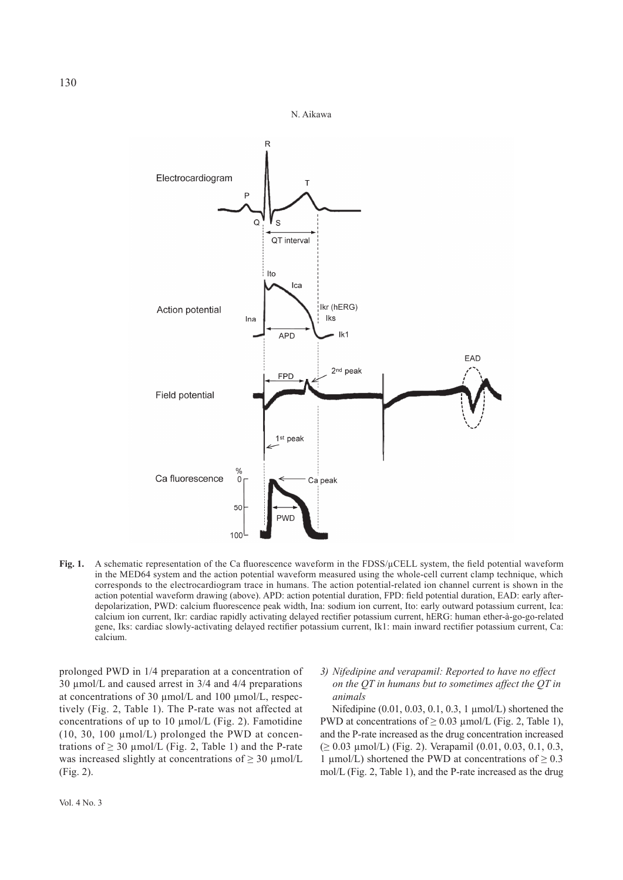

Fig. 1. A schematic representation of the Ca fluorescence waveform in the FDSS/µCELL system, the field potential waveform in the MED64 system and the action potential waveform measured using the whole-cell current clamp technique, which corresponds to the electrocardiogram trace in humans. The action potential-related ion channel current is shown in the action potential waveform drawing (above). APD: action potential duration, FPD: field potential duration, EAD: early afterdepolarization, PWD: calcium fluorescence peak width, Ina: sodium ion current, Ito: early outward potassium current, Ica: calcium ion current, Ikr: cardiac rapidly activating delayed rectifier potassium current, hERG: human ether-à-go-go-related gene, Iks: cardiac slowly-activating delayed rectifier potassium current, Ik1: main inward rectifier potassium current, Ca: calcium.

prolonged PWD in 1/4 preparation at a concentration of 30 μmol/L and caused arrest in 3/4 and 4/4 preparations at concentrations of 30 μmol/L and 100 μmol/L, respectively (Fig. 2, Table 1). The P-rate was not affected at concentrations of up to 10 μmol/L (Fig. 2). Famotidine (10, 30, 100  $\mu$ mol/L) prolonged the PWD at concentrations of  $\geq$  30 µmol/L (Fig. 2, Table 1) and the P-rate was increased slightly at concentrations of  $\geq 30 \text{ }\mu\text{mol/L}$ (Fig. 2).

# *3) Nifedipine and verapamil: Reported to have no effect on the QT in humans but to sometimes affect the QT in animals*

Nifedipine (0.01, 0.03, 0.1, 0.3, 1 μmol/L) shortened the PWD at concentrations of  $\geq 0.03$  µmol/L (Fig. 2, Table 1), and the P-rate increased as the drug concentration increased (≥ 0.03 μmol/L) (Fig. 2). Verapamil (0.01, 0.03, 0.1, 0.3, 1 μmol/L) shortened the PWD at concentrations of  $\geq 0.3$ mol/L (Fig. 2, Table 1), and the P-rate increased as the drug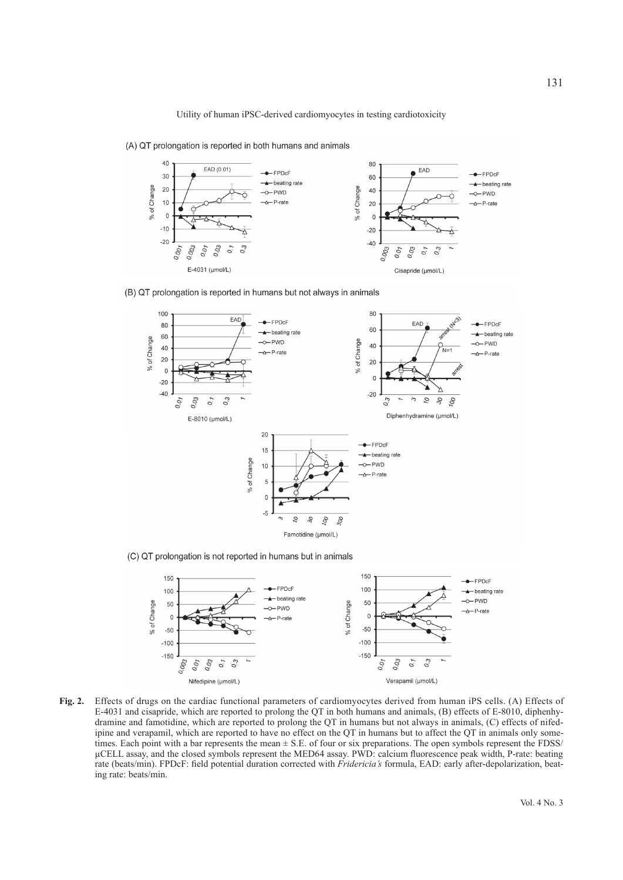

(A) QT prolongation is reported in both humans and animals

(B) QT prolongation is reported in humans but not always in animals



(C) QT prolongation is not reported in humans but in animals



**Fig. 2.** Effects of drugs on the cardiac functional parameters of cardiomyocytes derived from human iPS cells. (A) Effects of E-4031 and cisapride, which are reported to prolong the QT in both humans and animals, (B) effects of E-8010, diphenhydramine and famotidine, which are reported to prolong the QT in humans but not always in animals, (C) effects of nifedipine and verapamil, which are reported to have no effect on the QT in humans but to affect the QT in animals only sometimes. Each point with a bar represents the mean  $\pm$  S.E. of four or six preparations. The open symbols represent the FDSS/ μCELL assay, and the closed symbols represent the MED64 assay. PWD: calcium fluorescence peak width, P-rate: beating rate (beats/min). FPDcF: field potential duration corrected with *Fridericia's* formula, EAD: early after-depolarization, beating rate: beats/min.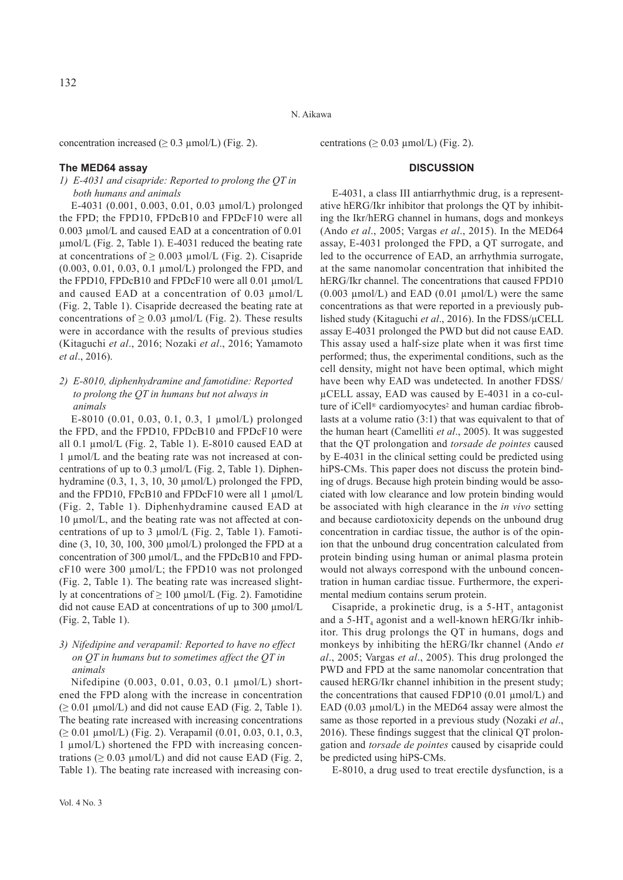132

N. Aikawa

concentration increased ( $\geq 0.3$  µmol/L) (Fig. 2).

# **The MED64 assay**

*1) E-4031 and cisapride: Reported to prolong the QT in both humans and animals*

E-4031 (0.001, 0.003, 0.01, 0.03 μmol/L) prolonged the FPD; the FPD10, FPDcB10 and FPDcF10 were all 0.003 μmol/L and caused EAD at a concentration of 0.01 μmol/L (Fig. 2, Table 1). E-4031 reduced the beating rate at concentrations of  $\geq$  0.003 μmol/L (Fig. 2). Cisapride (0.003, 0.01, 0.03, 0.1 μmol/L) prolonged the FPD, and the FPD10, FPDcB10 and FPDcF10 were all 0.01 μmol/L and caused EAD at a concentration of 0.03 μmol/L (Fig. 2, Table 1). Cisapride decreased the beating rate at concentrations of  $\geq 0.03$  µmol/L (Fig. 2). These results were in accordance with the results of previous studies (Kitaguchi *et al*., 2016; Nozaki *et al*., 2016; Yamamoto *et al*., 2016).

*2) E-8010, diphenhydramine and famotidine: Reported to prolong the QT in humans but not always in animals*

E-8010 (0.01, 0.03, 0.1, 0.3, 1 μmol/L) prolonged the FPD, and the FPD10, FPDcB10 and FPDcF10 were all 0.1 μmol/L (Fig. 2, Table 1). E-8010 caused EAD at 1 μmol/L and the beating rate was not increased at concentrations of up to 0.3 μmol/L (Fig. 2, Table 1). Diphenhydramine (0.3, 1, 3, 10, 30 μmol/L) prolonged the FPD, and the FPD10, FPcB10 and FPDcF10 were all 1 μmol/L (Fig. 2, Table 1). Diphenhydramine caused EAD at 10 μmol/L, and the beating rate was not affected at concentrations of up to 3 μmol/L (Fig. 2, Table 1). Famotidine (3, 10, 30, 100, 300 μmol/L) prolonged the FPD at a concentration of 300 μmol/L, and the FPDcB10 and FPDcF10 were 300 μmol/L; the FPD10 was not prolonged (Fig. 2, Table 1). The beating rate was increased slightly at concentrations of  $\geq 100 \mu$  mol/L (Fig. 2). Famotidine did not cause EAD at concentrations of up to 300 μmol/L (Fig. 2, Table 1).

# *3) Nifedipine and verapamil: Reported to have no effect on QT in humans but to sometimes affect the QT in animals*

Nifedipine (0.003, 0.01, 0.03, 0.1 μmol/L) shortened the FPD along with the increase in concentration  $(≥ 0.01 \mu \text{mol/L})$  and did not cause EAD (Fig. 2, Table 1). The beating rate increased with increasing concentrations (≥ 0.01 μmol/L) (Fig. 2). Verapamil (0.01, 0.03, 0.1, 0.3, 1 μmol/L) shortened the FPD with increasing concentrations  $(≥ 0.03 \mu mol/L)$  and did not cause EAD (Fig. 2, Table 1). The beating rate increased with increasing concentrations ( $\geq 0.03$  μmol/L) (Fig. 2).

# **DISCUSSION**

E-4031, a class III antiarrhythmic drug, is a representative hERG/Ikr inhibitor that prolongs the QT by inhibiting the Ikr/hERG channel in humans, dogs and monkeys (Ando *et al*., 2005; Vargas *et al*., 2015). In the MED64 assay, E-4031 prolonged the FPD, a QT surrogate, and led to the occurrence of EAD, an arrhythmia surrogate, at the same nanomolar concentration that inhibited the hERG/Ikr channel. The concentrations that caused FPD10  $(0.003 \mu \text{mol/L})$  and EAD  $(0.01 \mu \text{mol/L})$  were the same concentrations as that were reported in a previously published study (Kitaguchi *et al*., 2016). In the FDSS/μCELL assay E-4031 prolonged the PWD but did not cause EAD. This assay used a half-size plate when it was first time performed; thus, the experimental conditions, such as the cell density, might not have been optimal, which might have been why EAD was undetected. In another FDSS/ μCELL assay, EAD was caused by E-4031 in a co-culture of iCell® cardiomyocytes<sup>2</sup> and human cardiac fibroblasts at a volume ratio (3:1) that was equivalent to that of the human heart (Camelliti *et al*., 2005). It was suggested that the QT prolongation and *torsade de pointes* caused by E-4031 in the clinical setting could be predicted using hiPS-CMs. This paper does not discuss the protein binding of drugs. Because high protein binding would be associated with low clearance and low protein binding would be associated with high clearance in the *in vivo* setting and because cardiotoxicity depends on the unbound drug concentration in cardiac tissue, the author is of the opinion that the unbound drug concentration calculated from protein binding using human or animal plasma protein would not always correspond with the unbound concentration in human cardiac tissue. Furthermore, the experimental medium contains serum protein.

Cisapride, a prokinetic drug, is a  $5-HT<sub>3</sub>$  antagonist and a  $5-HT<sub>4</sub>$  agonist and a well-known hERG/Ikr inhibitor. This drug prolongs the QT in humans, dogs and monkeys by inhibiting the hERG/Ikr channel (Ando *et al*., 2005; Vargas *et al*., 2005). This drug prolonged the PWD and FPD at the same nanomolar concentration that caused hERG/Ikr channel inhibition in the present study; the concentrations that caused FDP10 (0.01 μmol/L) and EAD (0.03 μmol/L) in the MED64 assay were almost the same as those reported in a previous study (Nozaki *et al*., 2016). These findings suggest that the clinical QT prolongation and *torsade de pointes* caused by cisapride could be predicted using hiPS-CMs.

E-8010, a drug used to treat erectile dysfunction, is a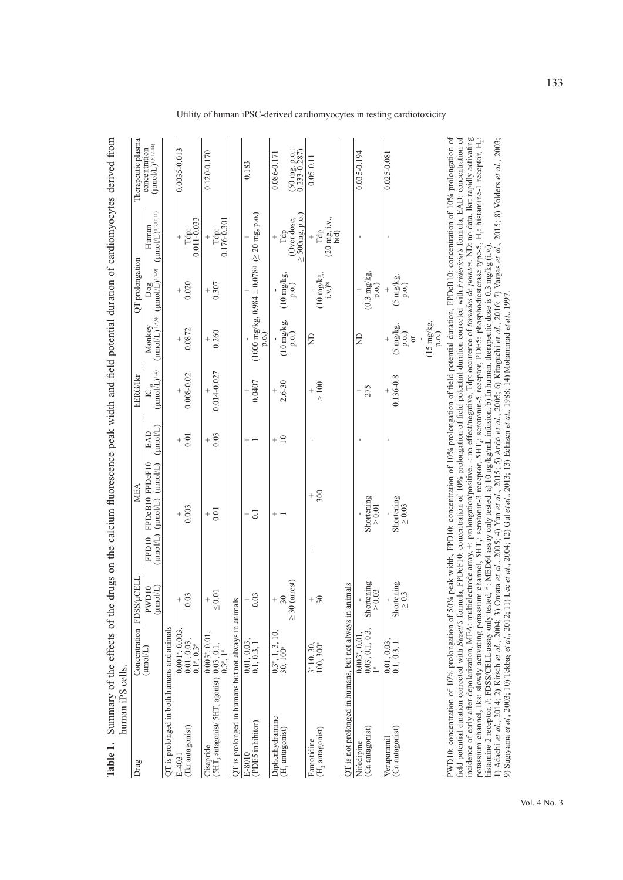| Table 1.                                  | Summary of the effects of the<br>human iPS cells.                                                                                              |                                                                                   |                                                            | drugs on the calcium fluorescence peak width and field potential duration of cardiomyocytes derived from                                                                                                                                                                                                                                                                                                                                                                                                                                                                                                                                                                                                                                                                                                                                                                                                                                                                                                                                                                                                                                                           |                       |                                                        |                                              |                                              |                                                                               |                                                   |
|-------------------------------------------|------------------------------------------------------------------------------------------------------------------------------------------------|-----------------------------------------------------------------------------------|------------------------------------------------------------|--------------------------------------------------------------------------------------------------------------------------------------------------------------------------------------------------------------------------------------------------------------------------------------------------------------------------------------------------------------------------------------------------------------------------------------------------------------------------------------------------------------------------------------------------------------------------------------------------------------------------------------------------------------------------------------------------------------------------------------------------------------------------------------------------------------------------------------------------------------------------------------------------------------------------------------------------------------------------------------------------------------------------------------------------------------------------------------------------------------------------------------------------------------------|-----------------------|--------------------------------------------------------|----------------------------------------------|----------------------------------------------|-------------------------------------------------------------------------------|---------------------------------------------------|
| Drug                                      |                                                                                                                                                | Concentration FDSS                                                                | VµCELL                                                     | MEA                                                                                                                                                                                                                                                                                                                                                                                                                                                                                                                                                                                                                                                                                                                                                                                                                                                                                                                                                                                                                                                                                                                                                                |                       | <b>hERG/Ikr</b>                                        |                                              | QT prolongation                              |                                                                               | Therapeutic plasma                                |
|                                           |                                                                                                                                                | $(\text{unol/L})$                                                                 | $(\text{mmUL})$<br>PWD <sub>10</sub>                       | FPDcB10 FPDcF10<br>$(\text{mmol/L})$ $(\text{mmol/L})$<br>$(\text{mod}/L)$<br>FPD10                                                                                                                                                                                                                                                                                                                                                                                                                                                                                                                                                                                                                                                                                                                                                                                                                                                                                                                                                                                                                                                                                | $($ µmol/L $)$<br>EAD | $IC_{50}$<br>( $\mu$ mol $\tilde{L}$ ) <sup>1-4)</sup> | $(\mu \text{mol/L})^{1,5,6}$<br>Monkey       | $\log$ (µmol/ $L$ ) <sup>1,7-9)</sup>        | $(\text{mm}/\text{L})^{1,3,10,11)}$<br>Human                                  | $(\mu \text{mol/L})^{1,6,12-14}$<br>concentration |
|                                           | QT is prolonged in both humans and animals                                                                                                     |                                                                                   |                                                            |                                                                                                                                                                                                                                                                                                                                                                                                                                                                                                                                                                                                                                                                                                                                                                                                                                                                                                                                                                                                                                                                                                                                                                    |                       |                                                        |                                              |                                              |                                                                               |                                                   |
| (Ikr antagonist)<br>E-403                 |                                                                                                                                                | $\begin{array}{c} 0.001^*,\, 0.003,\\ 0.01,\, 0.03,\\ 0.1^*,\, 0.3^* \end{array}$ | .03<br>$^{+}$                                              | 0.003<br>$^{+}$                                                                                                                                                                                                                                                                                                                                                                                                                                                                                                                                                                                                                                                                                                                                                                                                                                                                                                                                                                                                                                                                                                                                                    | 0.01<br>$^{+}$        | $0.008 - 0.02$                                         | 0.0872<br>$^{+}$                             | 0.020<br>$^{+}$                              | $^{Tdp:}_{0.011-0.033}$                                                       | 0.0035-0.013                                      |
|                                           | Consequence<br>(SHT <sub>3</sub> antagonist/ SHT <sub>4</sub> agonist) $\frac{0.003^*}{0.03}$ , 0.1,<br>$\frac{0.003}{0.3^*}$ , 1 <sup>#</sup> |                                                                                   | $\leq 0.01$<br>$^{+}$                                      | $+\frac{1}{0}$                                                                                                                                                                                                                                                                                                                                                                                                                                                                                                                                                                                                                                                                                                                                                                                                                                                                                                                                                                                                                                                                                                                                                     | 0.03<br>$^{+}$        | 0.014-0.027                                            | 0.260<br>$^{+}$                              | 0.307<br>$^{+}$                              | $Tdp: 0.176-0.301$                                                            | $0.120 - 0.170$                                   |
|                                           | QT is prolonged in humans but not always in animals                                                                                            |                                                                                   |                                                            |                                                                                                                                                                                                                                                                                                                                                                                                                                                                                                                                                                                                                                                                                                                                                                                                                                                                                                                                                                                                                                                                                                                                                                    |                       |                                                        |                                              |                                              |                                                                               |                                                   |
| (PDES inhibitor)<br>E-8010                |                                                                                                                                                | $\begin{array}{c} 0.01, 0.03, 0.01, 0.3, 1 \end{array}$                           | 0.03<br>$^{+}$                                             | $\overline{0}$ .<br>$^+$                                                                                                                                                                                                                                                                                                                                                                                                                                                                                                                                                                                                                                                                                                                                                                                                                                                                                                                                                                                                                                                                                                                                           | $^{+}$                | 0.0407                                                 | p.o.                                         |                                              | $(1000 \text{ mg/kg}, 0.984 \pm 0.078)$ $( \geq 20 \text{ mg}, \text{ p.o.})$ | 0.183                                             |
| Diphenhydramine                           |                                                                                                                                                | $0.3^*$ , 1, 3, 10, 30, 100 <sup>#</sup>                                          |                                                            | $\hspace{0.1mm} +$                                                                                                                                                                                                                                                                                                                                                                                                                                                                                                                                                                                                                                                                                                                                                                                                                                                                                                                                                                                                                                                                                                                                                 | $+$ $\supseteq$       |                                                        |                                              |                                              |                                                                               | 0.086-0.171                                       |
| (H <sub>1</sub> antagonist)               |                                                                                                                                                |                                                                                   | (arrest)<br>30<br>$\geq 30$                                |                                                                                                                                                                                                                                                                                                                                                                                                                                                                                                                                                                                                                                                                                                                                                                                                                                                                                                                                                                                                                                                                                                                                                                    |                       | $2.6 - 30$                                             | $(10 \text{ mg/kg})$<br>p.o.)                | $(10 \text{ mg/kg})$<br>p.o.                 | $\geq 500$ mg, p.o.)<br>(Over dose,<br>Táp                                    | $(50 \text{ mg} \text{ p.o.})$<br>$0.233 - 0.287$ |
| (H <sub>2</sub> antagonist)<br>Famotidine |                                                                                                                                                | $3*10, 30, 100, 300*$                                                             | 30<br>$^+$                                                 | 300<br>$^{+}$                                                                                                                                                                                                                                                                                                                                                                                                                                                                                                                                                                                                                                                                                                                                                                                                                                                                                                                                                                                                                                                                                                                                                      |                       | $>100$<br>$^{+}$                                       | g                                            | $(10 \text{ mg/kg})$<br>$i.v.$ <sup>b)</sup> | $(20 \text{ mg}, i.v.,$ bid)<br>Tdp                                           | $0.05 - 0.11$                                     |
|                                           | QT is not prolonged in humans, but not always in animals                                                                                       |                                                                                   |                                                            |                                                                                                                                                                                                                                                                                                                                                                                                                                                                                                                                                                                                                                                                                                                                                                                                                                                                                                                                                                                                                                                                                                                                                                    |                       |                                                        |                                              |                                              |                                                                               |                                                   |
| (Ca antagonist)<br>Nifedipine             |                                                                                                                                                | $0.003^*$ , $0.01$ ,<br>0.03, 0.1, 0.3,<br>$1^*$                                  | $\begin{array}{c} \rm Shortening \\ \geq 0.03 \end{array}$ | Shortening<br>$\geq 0.01$                                                                                                                                                                                                                                                                                                                                                                                                                                                                                                                                                                                                                                                                                                                                                                                                                                                                                                                                                                                                                                                                                                                                          |                       | $+5$                                                   | ₿                                            | $(0.3 \text{ mg/kg})$<br>p.o.                |                                                                               | $0.035 - 0.194$                                   |
| (Ca antagonist)<br>Verapammil             |                                                                                                                                                | $\begin{array}{c} 0.01, 0.03, \\ 0.1, 0.3, 1 \end{array}$                         | Shortening<br>$\geq 0.3$                                   | ${\rm Shortening} \ge 0.03$                                                                                                                                                                                                                                                                                                                                                                                                                                                                                                                                                                                                                                                                                                                                                                                                                                                                                                                                                                                                                                                                                                                                        |                       | $0.136 - 0.8$                                          | $\frac{(5 \text{ mg/kg})}{p.0.}$<br>$\sigma$ | $(5 \text{ mg/kg})$<br>p.o.)                 |                                                                               | $0.025 - 0.081$                                   |
|                                           |                                                                                                                                                |                                                                                   |                                                            |                                                                                                                                                                                                                                                                                                                                                                                                                                                                                                                                                                                                                                                                                                                                                                                                                                                                                                                                                                                                                                                                                                                                                                    |                       |                                                        | $(15 \text{ mg/kg})$<br>[0.0]                |                                              |                                                                               |                                                   |
|                                           | 9) Sugiyama et al., 2003; 10) Tekbaş et al., 2012; 11                                                                                          |                                                                                   |                                                            | PWD10: concentration of 10% prolongation of 50% peak width, FPD10: concentration of 10% prolongation of field potential duration, FPDcB10: concentration of 10% prolongation of<br>field potential duration corrected with Buzett's formula, FPDcF10: concentration of 10% prolongation of field potential duration corrected with Fridericia's formula, EAD: concentration of<br>incidence of early after-depolarization, MEA: multielectrode array, +: prolongation/positive, -: no-effect/negative, Tdp: occurence of torsades de pointes, ND: no data, Ikr. rapidly activating<br>potassium channel, Iks: slowly activating potassium channel, 5HT <sub>3</sub> ; serotonin-3 receptor, 5HT <sub>4</sub> ; serotonin-5 receptor, PDE5: phosphodiesterase type-5, H <sub>1</sub> ; histamine-1 receptor, H <sub>2</sub> ;<br>histamine-2 receptor, #: FDSS/CELL assay only tested, *: MED64 assay only tested. a) 10 µg/kg/mL infusion, b) In human, therapeutic dose is 0.3 mg/kg (i.v.).<br>1) Adachi et al., 2014; 2) Kirsch et al., 2004; 3) Omata et al.<br>1) Lee et al., 2004; 12) Gul et al., 2013; 13) Echizen et al., 1988; 14) Mohammad et al., 1997 |                       |                                                        |                                              |                                              |                                                                               |                                                   |

Utility of human iPSC-derived cardiomyocytes in testing cardiotoxicity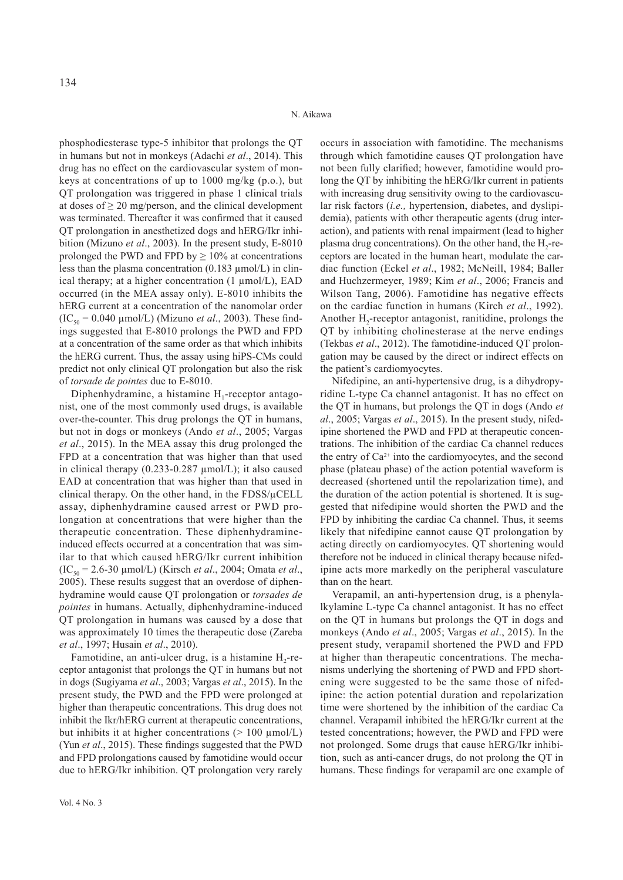phosphodiesterase type-5 inhibitor that prolongs the QT in humans but not in monkeys (Adachi *et al*., 2014). This drug has no effect on the cardiovascular system of monkeys at concentrations of up to 1000 mg/kg (p.o.), but QT prolongation was triggered in phase 1 clinical trials at doses of  $\geq 20$  mg/person, and the clinical development was terminated. Thereafter it was confirmed that it caused QT prolongation in anesthetized dogs and hERG/Ikr inhibition (Mizuno *et al*., 2003). In the present study, E-8010 prolonged the PWD and FPD by  $\geq 10\%$  at concentrations less than the plasma concentration (0.183 μmol/L) in clinical therapy; at a higher concentration (1 μmol/L), EAD occurred (in the MEA assay only). E-8010 inhibits the hERG current at a concentration of the nanomolar order  $(IC_{50} = 0.040 \text{ µmol/L})$  (Mizuno *et al.*, 2003). These findings suggested that E-8010 prolongs the PWD and FPD at a concentration of the same order as that which inhibits the hERG current. Thus, the assay using hiPS-CMs could predict not only clinical QT prolongation but also the risk of *torsade de pointes* due to E-8010.

Diphenhydramine, a histamine  $H_1$ -receptor antagonist, one of the most commonly used drugs, is available over-the-counter. This drug prolongs the QT in humans, but not in dogs or monkeys (Ando *et al*., 2005; Vargas *et al*., 2015). In the MEA assay this drug prolonged the FPD at a concentration that was higher than that used in clinical therapy (0.233-0.287 μmol/L); it also caused EAD at concentration that was higher than that used in clinical therapy. On the other hand, in the FDSS/μCELL assay, diphenhydramine caused arrest or PWD prolongation at concentrations that were higher than the therapeutic concentration. These diphenhydramineinduced effects occurred at a concentration that was similar to that which caused hERG/Ikr current inhibition (IC50 = 2.6-30 μmol/L) (Kirsch *et al*., 2004; Omata *et al*., 2005). These results suggest that an overdose of diphenhydramine would cause QT prolongation or *torsades de pointes* in humans. Actually, diphenhydramine-induced QT prolongation in humans was caused by a dose that was approximately 10 times the therapeutic dose (Zareba *et al*., 1997; Husain *et al*., 2010).

Famotidine, an anti-ulcer drug, is a histamine  $H_2$ -receptor antagonist that prolongs the QT in humans but not in dogs (Sugiyama *et al*., 2003; Vargas *et al*., 2015). In the present study, the PWD and the FPD were prolonged at higher than therapeutic concentrations. This drug does not inhibit the Ikr/hERG current at therapeutic concentrations, but inhibits it at higher concentrations  $(> 100 \mu m o l/L)$ (Yun *et al*., 2015). These findings suggested that the PWD and FPD prolongations caused by famotidine would occur due to hERG/Ikr inhibition. QT prolongation very rarely

occurs in association with famotidine. The mechanisms through which famotidine causes QT prolongation have not been fully clarified; however, famotidine would prolong the QT by inhibiting the hERG/Ikr current in patients with increasing drug sensitivity owing to the cardiovascular risk factors (*i.e.,* hypertension, diabetes, and dyslipidemia), patients with other therapeutic agents (drug interaction), and patients with renal impairment (lead to higher plasma drug concentrations). On the other hand, the  $H_2$ -receptors are located in the human heart, modulate the cardiac function (Eckel *et al*., 1982; McNeill, 1984; Baller and Huchzermeyer, 1989; Kim *et al*., 2006; Francis and Wilson Tang, 2006). Famotidine has negative effects on the cardiac function in humans (Kirch *et al*., 1992). Another H<sub>2</sub>-receptor antagonist, ranitidine, prolongs the QT by inhibiting cholinesterase at the nerve endings (Tekbas *et al*., 2012). The famotidine-induced QT prolongation may be caused by the direct or indirect effects on the patient's cardiomyocytes.

Nifedipine, an anti-hypertensive drug, is a dihydropyridine L-type Ca channel antagonist. It has no effect on the QT in humans, but prolongs the QT in dogs (Ando *et al*., 2005; Vargas *et al*., 2015). In the present study, nifedipine shortened the PWD and FPD at therapeutic concentrations. The inhibition of the cardiac Ca channel reduces the entry of  $Ca^{2+}$  into the cardiomyocytes, and the second phase (plateau phase) of the action potential waveform is decreased (shortened until the repolarization time), and the duration of the action potential is shortened. It is suggested that nifedipine would shorten the PWD and the FPD by inhibiting the cardiac Ca channel. Thus, it seems likely that nifedipine cannot cause QT prolongation by acting directly on cardiomyocytes. QT shortening would therefore not be induced in clinical therapy because nifedipine acts more markedly on the peripheral vasculature than on the heart.

Verapamil, an anti-hypertension drug, is a phenylalkylamine L-type Ca channel antagonist. It has no effect on the QT in humans but prolongs the QT in dogs and monkeys (Ando *et al*., 2005; Vargas *et al*., 2015). In the present study, verapamil shortened the PWD and FPD at higher than therapeutic concentrations. The mechanisms underlying the shortening of PWD and FPD shortening were suggested to be the same those of nifedipine: the action potential duration and repolarization time were shortened by the inhibition of the cardiac Ca channel. Verapamil inhibited the hERG/Ikr current at the tested concentrations; however, the PWD and FPD were not prolonged. Some drugs that cause hERG/Ikr inhibition, such as anti-cancer drugs, do not prolong the QT in humans. These findings for verapamil are one example of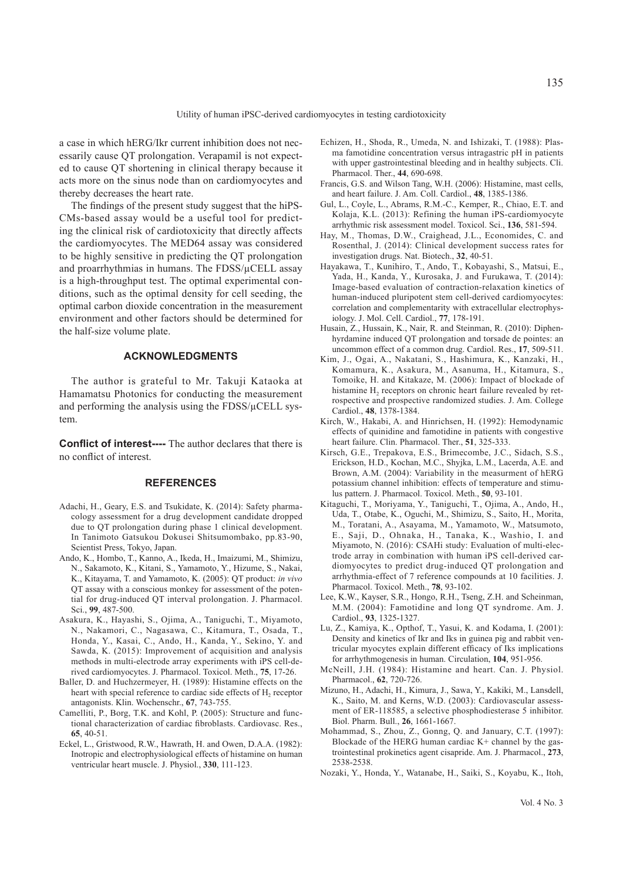a case in which hERG/Ikr current inhibition does not necessarily cause QT prolongation. Verapamil is not expected to cause QT shortening in clinical therapy because it acts more on the sinus node than on cardiomyocytes and thereby decreases the heart rate.

The findings of the present study suggest that the hiPS-CMs-based assay would be a useful tool for predicting the clinical risk of cardiotoxicity that directly affects the cardiomyocytes. The MED64 assay was considered to be highly sensitive in predicting the QT prolongation and proarrhythmias in humans. The FDSS/μCELL assay is a high-throughput test. The optimal experimental conditions, such as the optimal density for cell seeding, the optimal carbon dioxide concentration in the measurement environment and other factors should be determined for the half-size volume plate.

# **ACKNOWLEDGMENTS**

The author is grateful to Mr. Takuji Kataoka at Hamamatsu Photonics for conducting the measurement and performing the analysis using the FDSS/μCELL system.

**Conflict of interest----** The author declares that there is no conflict of interest.

#### **REFERENCES**

- Adachi, H., Geary, E.S. and Tsukidate, K. (2014): Safety pharmacology assessment for a drug development candidate dropped due to QT prolongation during phase 1 clinical development. In Tanimoto Gatsukou Dokusei Shitsumombako, pp.83-90, Scientist Press, Tokyo, Japan.
- Ando, K., Hombo, T., Kanno, A., Ikeda, H., Imaizumi, M., Shimizu, N., Sakamoto, K., Kitani, S., Yamamoto, Y., Hizume, S., Nakai, K., Kitayama, T. and Yamamoto, K. (2005): QT product: *in vivo* QT assay with a conscious monkey for assessment of the potential for drug-induced QT interval prolongation. J. Pharmacol. Sci., **99**, 487-500.
- Asakura, K., Hayashi, S., Ojima, A., Taniguchi, T., Miyamoto, N., Nakamori, C., Nagasawa, C., Kitamura, T., Osada, T., Honda, Y., Kasai, C., Ando, H., Kanda, Y., Sekino, Y. and Sawda, K. (2015): Improvement of acquisition and analysis methods in multi-electrode array experiments with iPS cell-derived cardiomyocytes. J. Pharmacol. Toxicol. Meth., **75**, 17-26.
- Baller, D. and Huchzermeyer, H. (1989): Histamine effects on the heart with special reference to cardiac side effects of H<sub>2</sub> receptor antagonists. Klin. Wochenschr., **67**, 743-755.
- Camelliti, P., Borg, T.K. and Kohl, P. (2005): Structure and functional characterization of cardiac fibroblasts. Cardiovasc. Res., **65**, 40-51.
- Eckel, L., Gristwood, R.W., Hawrath, H. and Owen, D.A.A. (1982): Inotropic and electrophysiological effects of histamine on human ventricular heart muscle. J. Physiol., **330**, 111-123.
- Echizen, H., Shoda, R., Umeda, N. and Ishizaki, T. (1988): Plasma famotidine concentration versus intragastric pH in patients with upper gastrointestinal bleeding and in healthy subjects. Cli. Pharmacol. Ther., **44**, 690-698.
- Francis, G.S. and Wilson Tang, W.H. (2006): Histamine, mast cells, and heart failure. J. Am. Coll. Cardiol., **48**, 1385-1386.
- Gul, L., Coyle, L., Abrams, R.M.-C., Kemper, R., Chiao, E.T. and Kolaja, K.L. (2013): Refining the human iPS-cardiomyocyte arrhythmic risk assessment model. Toxicol. Sci., **136**, 581-594.
- Hay, M., Thomas, D.W., Craighead, J.L., Economides, C. and Rosenthal, J. (2014): Clinical development success rates for investigation drugs. Nat. Biotech., **32**, 40-51.
- Hayakawa, T., Kunihiro, T., Ando, T., Kobayashi, S., Matsui, E., Yada, H., Kanda, Y., Kurosaka, J. and Furukawa, T. (2014): Image-based evaluation of contraction-relaxation kinetics of human-induced pluripotent stem cell-derived cardiomyocytes: correlation and complementarity with extracellular electrophysiology. J. Mol. Cell. Cardiol., **77**, 178-191.
- Husain, Z., Hussain, K., Nair, R. and Steinman, R. (2010): Diphenhyrdamine induced QT prolongation and torsade de pointes: an uncommon effect of a common drug. Cardiol. Res., **17**, 509-511.
- Kim, J., Ogai, A., Nakatani, S., Hashimura, K., Kanzaki, H., Komamura, K., Asakura, M., Asanuma, H., Kitamura, S., Tomoike, H. and Kitakaze, M. (2006): Impact of blockade of histamine H<sub>2</sub> receptors on chronic heart failure revealed by retrospective and prospective randomized studies. J. Am. College Cardiol., **48**, 1378-1384.
- Kirch, W., Hakabi, A. and Hinrichsen, H. (1992): Hemodynamic effects of quinidine and famotidine in patients with congestive heart failure. Clin. Pharmacol. Ther., **51**, 325-333.
- Kirsch, G.E., Trepakova, E.S., Brimecombe, J.C., Sidach, S.S., Erickson, H.D., Kochan, M.C., Shyjka, L.M., Lacerda, A.E. and Brown, A.M. (2004): Variability in the measurment of hERG potassium channel inhibition: effects of temperature and stimulus pattern. J. Pharmacol. Toxicol. Meth., **50**, 93-101.
- Kitaguchi, T., Moriyama, Y., Taniguchi, T., Ojima, A., Ando, H., Uda, T., Otabe, K., Oguchi, M., Shimizu, S., Saito, H., Morita, M., Toratani, A., Asayama, M., Yamamoto, W., Matsumoto, E., Saji, D., Ohnaka, H., Tanaka, K., Washio, I. and Miyamoto, N. (2016): CSAHi study: Evaluation of multi-electrode array in combination with human iPS cell-derived cardiomyocytes to predict drug-induced QT prolongation and arrhythmia-effect of 7 reference compounds at 10 facilities. J. Pharmacol. Toxicol. Meth., **78**, 93-102.
- Lee, K.W., Kayser, S.R., Hongo, R.H., Tseng, Z.H. and Scheinman, M.M. (2004): Famotidine and long QT syndrome. Am. J. Cardiol., **93**, 1325-1327.
- Lu, Z., Kamiya, K., Opthof, T., Yasui, K. and Kodama, I. (2001): Density and kinetics of Ikr and Iks in guinea pig and rabbit ventricular myocytes explain different efficacy of Iks implications for arrhythmogenesis in human. Circulation, **104**, 951-956.
- McNeill, J.H. (1984): Histamine and heart. Can. J. Physiol. Pharmacol., **62**, 720-726.
- Mizuno, H., Adachi, H., Kimura, J., Sawa, Y., Kakiki, M., Lansdell, K., Saito, M. and Kerns, W.D. (2003): Cardiovascular assessment of ER-118585, a selective phosphodiesterase 5 inhibitor. Biol. Pharm. Bull., **26**, 1661-1667.
- Mohammad, S., Zhou, Z., Gonng, Q. and January, C.T. (1997): Blockade of the HERG human cardiac  $K^+$  channel by the gastrointestinal prokinetics agent cisapride. Am. J. Pharmacol., **273**, 2538-2538.
- Nozaki, Y., Honda, Y., Watanabe, H., Saiki, S., Koyabu, K., Itoh,